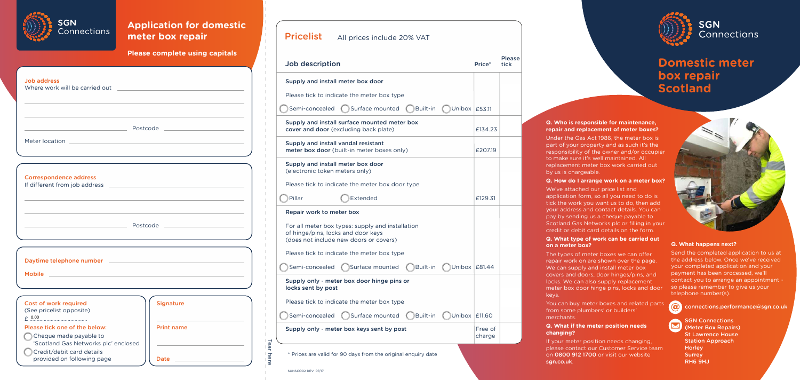#### **Q. Who is responsible for maintenance, repair and replacement of meter boxes?**

Under the Gas Act 1986, the meter box is part of your property and as such it's the responsibility of the owner and/or occupier to make sure it's well maintained. All replacement meter box work carried out by us is chargeable.

#### **Q. How do I arrange work on a meter box?**

We've attached our price list and application form, so all you need to do is tick the work you want us to do, then add your address and contact details. You can pay by sending us a cheque payable to Scotland Gas Networks plc or filling in your credit or debit card details on the form.

#### **Q. What type of work can be carried out on a meter box?**

The types of meter boxes we can offer repair work on are shown over the page. We can supply and install meter box covers and doors, door hinges/pins, and locks. We can also supply replacement meter box door hinge pins, locks and door

keys.

You can buy meter boxes and related parts from some plumbers' or builders' merchants.

# **Q. What if the meter position needs**

# **changing?**

| Job description                                                                                                                  | Price*            | Please<br>tick |
|----------------------------------------------------------------------------------------------------------------------------------|-------------------|----------------|
| Supply and install meter box door                                                                                                |                   |                |
| Please tick to indicate the meter box type                                                                                       |                   |                |
| Surface mounted<br>Built-in<br>Semi-concealed<br>Unibox   £53.11                                                                 |                   |                |
| Supply and install surface mounted meter box<br><b>cover and door</b> (excluding back plate)                                     | £134.23           |                |
| Supply and install vandal resistant<br><b>meter box door</b> (built-in meter boxes only)                                         | £207.19           |                |
| Supply and install meter box door<br>(electronic token meters only)                                                              |                   |                |
| Please tick to indicate the meter box door type                                                                                  |                   |                |
| Extended<br>Pillar                                                                                                               | £129.31           |                |
| Repair work to meter box                                                                                                         |                   |                |
| For all meter box types: supply and installation<br>of hinge/pins, locks and door keys<br>(does not include new doors or covers) |                   |                |
| Please tick to indicate the meter box type                                                                                       |                   |                |
| Surface mounted<br>Built-in<br>Semi-concealed                                                                                    | Unibox £81.44     |                |
| Supply only - meter box door hinge pins or<br>locks sent by post                                                                 |                   |                |
| Please tick to indicate the meter box type                                                                                       |                   |                |
| Surface mounted<br>Built-in<br>Semi-concealed                                                                                    | Unibox   £11.60   |                |
| Supply only - meter box keys sent by post                                                                                        | Free of<br>charge |                |

**Pricelist** All prices include 20% VAT

If your meter position needs changing, please contact our Customer Service team on 0800 912 1700 or visit our website



sgn.co.uk.

#### **Q. What happens next?**

Send the completed application to us at the address below. Once we've received your completed application and your payment has been processed, we'll contact you to arrange an appointment so please remember to give us your telephone number(s).



 $\blacktriangleright$ 

**@** connections.performance@sgn.co.uk

SGN Connections (Meter Box Repairs) St Lawrence House Station Approach **Horley Surrey** RH6 9HJ

# **Domestic meter box repair Scotland**

## **Please complete using capitals**



## **Application for domestic meter box repair**

SGNSCO02 REV: 07/17



| <b>Job address</b><br>Where work will be carried out                                                                                                                                                                        | the contract of the contract of the contract of                                                                       |
|-----------------------------------------------------------------------------------------------------------------------------------------------------------------------------------------------------------------------------|-----------------------------------------------------------------------------------------------------------------------|
|                                                                                                                                                                                                                             |                                                                                                                       |
|                                                                                                                                                                                                                             |                                                                                                                       |
| <b>Correspondence address</b>                                                                                                                                                                                               |                                                                                                                       |
|                                                                                                                                                                                                                             | <u> Expansion de Postcode de la proprietat de la proprietat de la proprietat de la proprietat de la proprietat de</u> |
|                                                                                                                                                                                                                             |                                                                                                                       |
| Cost of work required<br>(See pricelist opposite)<br>$E$ 0.00<br>Please tick one of the below:<br>Cheque made payable to<br>'Scotland Gas Networks plc' enclosed<br>Credit/debit card details<br>provided on following page | <b>Signature</b><br><b>Print name</b><br>Date _____________                                                           |